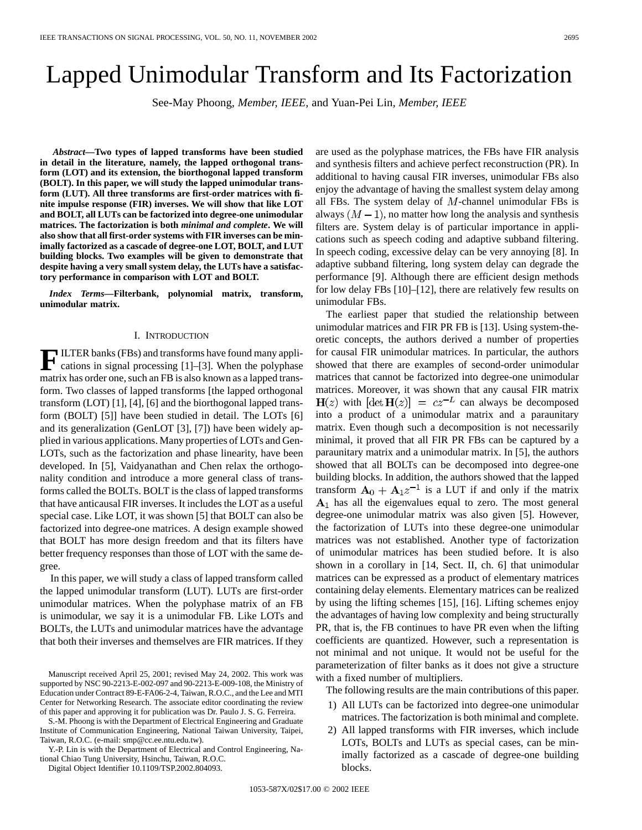# Lapped Unimodular Transform and Its Factorization

See-May Phoong*, Member, IEEE,* and Yuan-Pei Lin*, Member, IEEE*

*Abstract—***Two types of lapped transforms have been studied in detail in the literature, namely, the lapped orthogonal transform (LOT) and its extension, the biorthogonal lapped transform (BOLT). In this paper, we will study the lapped unimodular transform (LUT). All three transforms are first-order matrices with finite impulse response (FIR) inverses. We will show that like LOT and BOLT, all LUTs can be factorized into degree-one unimodular matrices. The factorization is both** *minimal and complete***. We will also show that all first-order systems with FIR inverses can be minimally factorized as a cascade of degree-one LOT, BOLT, and LUT building blocks. Two examples will be given to demonstrate that despite having a very small system delay, the LUTs have a satisfactory performance in comparison with LOT and BOLT.**

*Index Terms—***Filterbank, polynomial matrix, transform, unimodular matrix.**

#### I. INTRODUCTION

**F**ILTER banks (FBs) and transforms have found many applications in signal processing [1]–[3]. When the polyphase matrix has order one, such an FB is also known as a lapped transform. Two classes of lapped transforms [the lapped orthogonal transform (LOT) [1], [4], [6] and the biorthogonal lapped transform (BOLT) [5]] have been studied in detail. The LOTs [6] and its generalization (GenLOT [3], [7]) have been widely applied in various applications. Many properties of LOTs and Gen-LOTs, such as the factorization and phase linearity, have been developed. In [5], Vaidyanathan and Chen relax the orthogonality condition and introduce a more general class of transforms called the BOLTs. BOLT is the class of lapped transforms that have anticausal FIR inverses. It includes the LOT as a useful special case. Like LOT, it was shown [5] that BOLT can also be factorized into degree-one matrices. A design example showed that BOLT has more design freedom and that its filters have better frequency responses than those of LOT with the same degree.

In this paper, we will study a class of lapped transform called the lapped unimodular transform (LUT). LUTs are first-order unimodular matrices. When the polyphase matrix of an FB is unimodular, we say it is a unimodular FB. Like LOTs and BOLTs, the LUTs and unimodular matrices have the advantage that both their inverses and themselves are FIR matrices. If they

S.-M. Phoong is with the Department of Electrical Engineering and Graduate Institute of Communication Engineering, National Taiwan University, Taipei, Taiwan, R.O.C. (e-mail: smp@cc.ee.ntu.edu.tw).

Y.-P. Lin is with the Department of Electrical and Control Engineering, National Chiao Tung University, Hsinchu, Taiwan, R.O.C.

Digital Object Identifier 10.1109/TSP.2002.804093.

are used as the polyphase matrices, the FBs have FIR analysis and synthesis filters and achieve perfect reconstruction (PR). In additional to having causal FIR inverses, unimodular FBs also enjoy the advantage of having the smallest system delay among all FBs. The system delay of  $M$ -channel unimodular FBs is always  $(M - 1)$ , no matter how long the analysis and synthesis filters are. System delay is of particular importance in applications such as speech coding and adaptive subband filtering. In speech coding, excessive delay can be very annoying [8]. In adaptive subband filtering, long system delay can degrade the performance [9]. Although there are efficient design methods for low delay FBs [10]–[12], there are relatively few results on unimodular FBs.

The earliest paper that studied the relationship between unimodular matrices and FIR PR FB is [13]. Using system-theoretic concepts, the authors derived a number of properties for causal FIR unimodular matrices. In particular, the authors showed that there are examples of second-order unimodular matrices that cannot be factorized into degree-one unimodular matrices. Moreover, it was shown that any causal FIR matrix  $H(z)$  with  $[\det H(z)] = cz^{-L}$  can always be decomposed into a product of a unimodular matrix and a paraunitary matrix. Even though such a decomposition is not necessarily minimal, it proved that all FIR PR FBs can be captured by a paraunitary matrix and a unimodular matrix. In [5], the authors showed that all BOLTs can be decomposed into degree-one building blocks. In addition, the authors showed that the lapped transform  $A_0 + A_1 z^{-1}$  is a LUT if and only if the matrix  $A_1$  has all the eigenvalues equal to zero. The most general degree-one unimodular matrix was also given [5]. However, the factorization of LUTs into these degree-one unimodular matrices was not established. Another type of factorization of unimodular matrices has been studied before. It is also shown in a corollary in [14, Sect. II, ch. 6] that unimodular matrices can be expressed as a product of elementary matrices containing delay elements. Elementary matrices can be realized by using the lifting schemes [15], [16]. Lifting schemes enjoy the advantages of having low complexity and being structurally PR, that is, the FB continues to have PR even when the lifting coefficients are quantized. However, such a representation is not minimal and not unique. It would not be useful for the parameterization of filter banks as it does not give a structure with a fixed number of multipliers.

The following results are the main contributions of this paper.

- 1) All LUTs can be factorized into degree-one unimodular matrices. The factorization is both minimal and complete.
- 2) All lapped transforms with FIR inverses, which include LOTs, BOLTs and LUTs as special cases, can be minimally factorized as a cascade of degree-one building blocks.

Manuscript received April 25, 2001; revised May 24, 2002. This work was supported by NSC 90-2213-E-002-097 and 90-2213-E-009-108, the Ministry of Education under Contract 89-E-FA06-2-4, Taiwan, R.O.C., and the Lee and MTI Center for Networking Research. The associate editor coordinating the review of this paper and approving it for publication was Dr. Paulo J. S. G. Ferreira.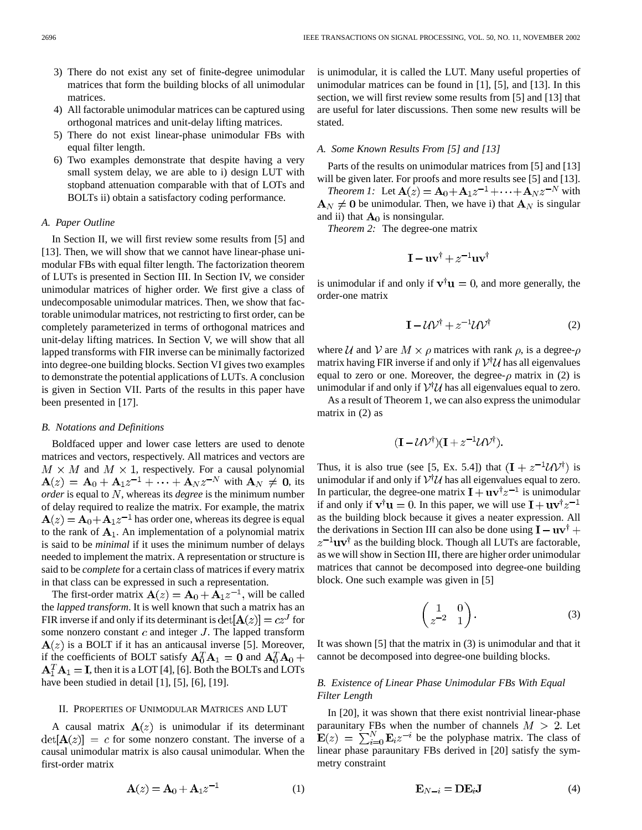- 3) There do not exist any set of finite-degree unimodular matrices that form the building blocks of all unimodular matrices.
- 4) All factorable unimodular matrices can be captured using orthogonal matrices and unit-delay lifting matrices.
- 5) There do not exist linear-phase unimodular FBs with equal filter length.
- 6) Two examples demonstrate that despite having a very small system delay, we are able to i) design LUT with stopband attenuation comparable with that of LOTs and BOLTs ii) obtain a satisfactory coding performance.

#### *A. Paper Outline*

In Section II, we will first review some results from [5] and [13]. Then, we will show that we cannot have linear-phase unimodular FBs with equal filter length. The factorization theorem of LUTs is presented in Section III. In Section IV, we consider unimodular matrices of higher order. We first give a class of undecomposable unimodular matrices. Then, we show that factorable unimodular matrices, not restricting to first order, can be completely parameterized in terms of orthogonal matrices and unit-delay lifting matrices. In Section V, we will show that all lapped transforms with FIR inverse can be minimally factorized into degree-one building blocks. Section VI gives two examples to demonstrate the potential applications of LUTs. A conclusion is given in Section VII. Parts of the results in this paper have been presented in [17].

#### *B. Notations and Definitions*

Boldfaced upper and lower case letters are used to denote matrices and vectors, respectively. All matrices and vectors are  $M \times M$  and  $M \times 1$ , respectively. For a causal polynomial  $\mathbf{A}(z) = \mathbf{A}_0 + \mathbf{A}_1 z^{-1} + \cdots + \mathbf{A}_N z^{-N}$  with  $\mathbf{A}_N \neq \mathbf{0}$ , its *order* is equal to N, whereas its *degree* is the minimum number of delay required to realize the matrix. For example, the matrix  $A(z) = A_0 + A_1 z^{-1}$  has order one, whereas its degree is equal to the rank of  $A_1$ . An implementation of a polynomial matrix is said to be *minimal* if it uses the minimum number of delays needed to implement the matrix. A representation or structure is said to be *complete* for a certain class of matrices if every matrix in that class can be expressed in such a representation.

The first-order matrix  $\mathbf{A}(z) = \mathbf{A}_0 + \mathbf{A}_1 z^{-1}$ , will be called the *lapped transform*. It is well known that such a matrix has an FIR inverse if and only if its determinant is  $det[\mathbf{A}(z)] = cz^{J}$  for some nonzero constant  $c$  and integer  $J$ . The lapped transform  $A(z)$  is a BOLT if it has an anticausal inverse [5]. Moreover, if the coefficients of BOLT satisfy  $\mathbf{A}_0^T \mathbf{A}_1 = \mathbf{0}$  and  $\mathbf{A}_0^T \mathbf{A}_0 +$  $A_1^T A_1 = I$ , then it is a LOT [4], [6]. Both the BOLTs and LOTs have been studied in detail [1], [5], [6], [19].

#### II. PROPERTIES OF UNIMODULAR MATRICES AND LUT

A causal matrix  $A(z)$  is unimodular if its determinant  $det[\mathbf{A}(z)] = c$  for some nonzero constant. The inverse of a causal unimodular matrix is also causal unimodular. When the first-order matrix

$$
\mathbf{A}(z) = \mathbf{A}_0 + \mathbf{A}_1 z^{-1} \tag{1}
$$

is unimodular, it is called the LUT. Many useful properties of unimodular matrices can be found in [1], [5], and [13]. In this section, we will first review some results from [5] and [13] that are useful for later discussions. Then some new results will be stated.

### *A. Some Known Results From [5] and [13]*

Parts of the results on unimodular matrices from [5] and [13] will be given later. For proofs and more results see [5] and [13].

*Theorem 1:* Let  $\mathbf{A}(z) = \mathbf{A}_0 + \mathbf{A}_1 z^{-1} + \cdots + \mathbf{A}_N z^{-N}$  with  $A_N \neq 0$  be unimodular. Then, we have i) that  $A_N$  is singular and ii) that  $A_0$  is nonsingular.

*Theorem 2:* The degree-one matrix

$$
\mathbf{I} - \mathbf{u}\mathbf{v}^{\dagger} + z^{-1}\mathbf{u}\mathbf{v}^{\dagger}
$$

is unimodular if and only if  $v^{\dagger}u = 0$ , and more generally, the order-one matrix

$$
\mathbf{I} - \mathcal{U}\mathcal{V}^{\dagger} + z^{-1}\mathcal{U}\mathcal{V}^{\dagger} \tag{2}
$$

where U and V are  $M \times \rho$  matrices with rank  $\rho$ , is a degree- $\rho$ matrix having FIR inverse if and only if  $V^{\dagger}U$  has all eigenvalues equal to zero or one. Moreover, the degree- $\rho$  matrix in (2) is unimodular if and only if  $V^{\dagger}U$  has all eigenvalues equal to zero.

As a result of Theorem 1, we can also express the unimodular matrix in (2) as

$$
(\mathbf{I} - \mathcal{U}\mathcal{V}^{\dagger})(\mathbf{I} + z^{-1}\mathcal{U}\mathcal{V}^{\dagger}).
$$

Thus, it is also true (see [5, Ex. 5.4]) that  $(I + z^{-1}U V^{\dagger})$  is unimodular if and only if  $V^{\dagger}U$  has all eigenvalues equal to zero. In particular, the degree-one matrix  $\mathbf{I} + \mathbf{u}\mathbf{v}^{\dagger}z^{-1}$  is unimodular if and only if  $\mathbf{v}^{\dagger} \mathbf{u} = 0$ . In this paper, we will use  $\mathbf{I} + \mathbf{u} \mathbf{v}^{\dagger} z^{-1}$ as the building block because it gives a neater expression. All the derivations in Section III can also be done using  $\mathbf{I} - \mathbf{u}\mathbf{v}^{\dagger} +$  $z^{-1}$ uv<sup>†</sup> as the building block. Though all LUTs are factorable, as we will show in Section III, there are higher order unimodular matrices that cannot be decomposed into degree-one building block. One such example was given in [5]

$$
\begin{pmatrix} 1 & 0 \ z^{-2} & 1 \end{pmatrix}.
$$
 (3)

It was shown [5] that the matrix in (3) is unimodular and that it cannot be decomposed into degree-one building blocks.

## *B. Existence of Linear Phase Unimodular FBs With Equal Filter Length*

In [20], it was shown that there exist nontrivial linear-phase paraunitary FBs when the number of channels  $M > 2$ . Let  $\mathbf{E}(z) = \sum_{i=0}^{N} \mathbf{E}_i z^{-i}$  be the polyphase matrix. The class of linear phase paraunitary FBs derived in [20] satisfy the symmetry constraint

$$
\mathbf{E}_{N-i} = \mathbf{D}\mathbf{E}_i \mathbf{J} \tag{4}
$$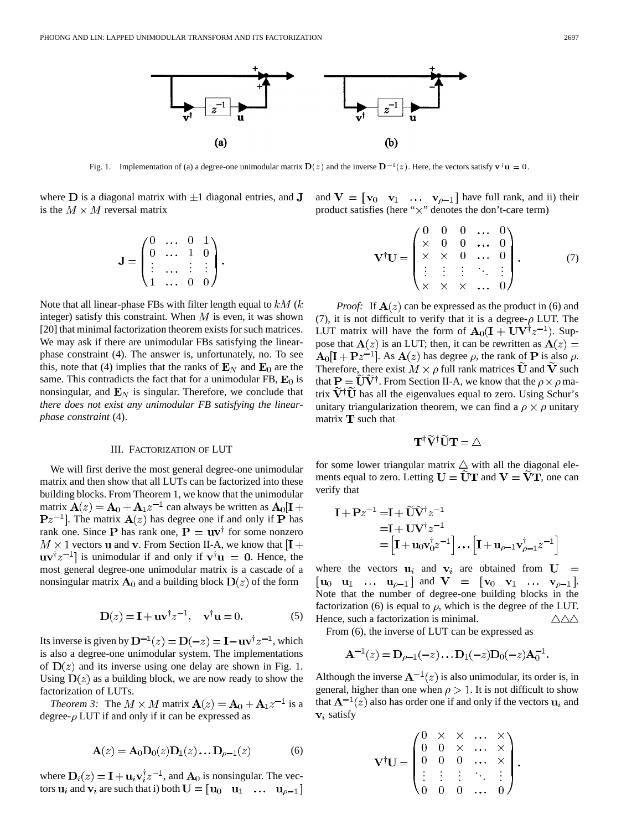

Fig. 1. Implementation of (a) a degree-one unimodular matrix  $D(z)$  and the inverse  $D^{-1}(z)$ . Here, the vectors satisfy  $v^{\dagger}u = 0$ .

where  $D$  is a diagonal matrix with  $\pm 1$  diagonal entries, and  $J$ is the  $M \times M$  reversal matrix

$$
\mathbf{J} = \begin{pmatrix} 0 & \dots & 0 & 1 \\ 0 & \dots & 1 & 0 \\ \vdots & \dots & \vdots & \vdots \\ 1 & \dots & 0 & 0 \end{pmatrix}.
$$

Note that all linear-phase FBs with filter length equal to  $kM(k)$ integer) satisfy this constraint. When  $M$  is even, it was shown [20] that minimal factorization theorem exists for such matrices. We may ask if there are unimodular FBs satisfying the linearphase constraint (4). The answer is, unfortunately, no. To see this, note that (4) implies that the ranks of  $\mathbf{E}_N$  and  $\mathbf{E}_0$  are the same. This contradicts the fact that for a unimodular FB,  $E_0$  is nonsingular, and  $\mathbf{E}_N$  is singular. Therefore, we conclude that *there does not exist any unimodular FB satisfying the linearphase constraint* (4).

#### III. FACTORIZATION OF LUT

We will first derive the most general degree-one unimodular matrix and then show that all LUTs can be factorized into these building blocks. From Theorem 1, we know that the unimodular matrix  $A(z) = A_0 + A_1 z^{-1}$  can always be written as  $A_0[I +$  $\mathbf{P}z^{-1}$ . The matrix  $\mathbf{A}(z)$  has degree one if and only if P has rank one. Since **P** has rank one,  $P = uv^{\dagger}$  for some nonzero  $M \times 1$  vectors **u** and **v**. From Section II-A, we know that  $[I +]$  $\mathbf{u} \mathbf{v}^{\dagger} z^{-1}$  is unimodular if and only if  $\mathbf{v}^{\dagger} \mathbf{u} = 0$ . Hence, the most general degree-one unimodular matrix is a cascade of a nonsingular matrix  $A_0$  and a building block  $D(z)$  of the form

$$
\mathbf{D}(z) = \mathbf{I} + \mathbf{u}\mathbf{v}^{\dagger}z^{-1}, \quad \mathbf{v}^{\dagger}\mathbf{u} = 0.
$$
 (5)

Its inverse is given by  $D^{-1}(z) = D(-z) = I - uv^{\dagger} z^{-1}$ , which is also a degree-one unimodular system. The implementations of  $D(z)$  and its inverse using one delay are shown in Fig. 1. Using  $D(z)$  as a building block, we are now ready to show the factorization of LUTs.

*Theorem 3:* The  $M \times M$  matrix  $\mathbf{A}(z) = \mathbf{A}_0 + \mathbf{A}_1 z^{-1}$  is a degree- $\rho$  LUT if and only if it can be expressed as

$$
\mathbf{A}(z) = \mathbf{A}_0 \mathbf{D}_0(z) \mathbf{D}_1(z) \dots \mathbf{D}_{\rho-1}(z) \tag{6}
$$

where  $D_i(z) = I + \mathbf{u}_i \mathbf{v}_i^{\dagger} z^{-1}$ , and  $\mathbf{A}_0$  is nonsingular. The vectors  $\mathbf{u}_i$  and  $\mathbf{v}_i$  are such that i) both  $\mathbf{U} = [\mathbf{u}_0 \quad \mathbf{u}_1 \quad \dots \quad \mathbf{u}_{\rho-1}]$  and  $V = [v_0 \ v_1 \ ... \ v_{\rho-1}]$  have full rank, and ii) their product satisfies (here " $\times$ " denotes the don't-care term)

$$
\mathbf{V}^{\dagger}\mathbf{U} = \begin{pmatrix} 0 & 0 & 0 & \dots & 0 \\ \times & 0 & 0 & \dots & 0 \\ \times & \times & 0 & \dots & 0 \\ \vdots & \vdots & \vdots & \ddots & \vdots \\ \times & \times & \times & \dots & 0 \end{pmatrix} . \tag{7}
$$

*Proof:* If  $A(z)$  can be expressed as the product in (6) and (7), it is not difficult to verify that it is a degree- $\rho$  LUT. The LUT matrix will have the form of  $A_0(I + UV^{\dagger}z^{-1})$ . Suppose that  $A(z)$  is an LUT; then, it can be rewritten as  $A(z) =$  $A_0[I + Pz^{-1}]$ . As  $A(z)$  has degree  $\rho$ , the rank of P is also  $\rho$ . Therefore, there exist  $M \times \rho$  full rank matrices  $\widetilde{U}$  and  $\widetilde{V}$  such that  $\mathbf{P} = \widetilde{\mathbf{U}} \widetilde{\mathbf{V}}^{\dagger}$ . From Section II-A, we know that the  $\rho \times \rho$  matrix  $V^{\dagger}U$  has all the eigenvalues equal to zero. Using Schur's unitary triangularization theorem, we can find a  $\rho \times \rho$  unitary matrix  **such that** 

$$
\mathbf{T}^{\dagger }\widetilde{\mathbf{V}}^{\dagger }\widetilde{\mathbf{U}}\mathbf{T}=\triangle
$$

for some lower triangular matrix  $\triangle$  with all the diagonal elements equal to zero. Letting  $U = UT$  and  $V = VT$ , one can verify that

$$
\mathbf{I} + \mathbf{P}z^{-1} = \mathbf{I} + \widetilde{\mathbf{U}}\widetilde{\mathbf{V}}^{\dagger}z^{-1}
$$
  
=\mathbf{I} + \mathbf{U}\mathbf{V}^{\dagger}z^{-1}  
=\left[\mathbf{I} + \mathbf{u}\_0\mathbf{v}\_0^{\dagger}z^{-1}\right] \dots \left[\mathbf{I} + \mathbf{u}\_{\rho-1}\mathbf{v}\_{\rho-1}^{\dagger}z^{-1}\right]

where the vectors  $u_i$  and  $v_i$  are obtained from  $U =$  $[\mathbf{u}_0 \quad \mathbf{u}_1 \quad \dots \quad \mathbf{u}_{\rho-1}]$  and  $\mathbf{V} = [\mathbf{v}_0 \quad \mathbf{v}_1 \quad \dots \quad \mathbf{v}_{\rho-1}].$ Note that the number of degree-one building blocks in the factorization (6) is equal to  $\rho$ , which is the degree of the LUT. Hence, such a factorization is minimal.  $\triangle\triangle\triangle$ 

From (6), the inverse of LUT can be expressed as

$$
\mathbf{A}^{-1}(z) = \mathbf{D}_{\rho-1}(-z) \dots \mathbf{D}_1(-z) \mathbf{D}_0(-z) \mathbf{A}_0^{-1}.
$$

Although the inverse  $A^{-1}(z)$  is also unimodular, its order is, in general, higher than one when  $\rho > 1$ . It is not difficult to show that  $A^{-1}(z)$  also has order one if and only if the vectors  $u_i$  and  $v_i$  satisfy

$$
\mathbf{V}^{\dagger}\mathbf{U} = \begin{pmatrix} 0 & \times & \times & \cdots & \times \\ 0 & 0 & \times & \cdots & \times \\ 0 & 0 & 0 & \cdots & \times \\ \vdots & \vdots & \vdots & \ddots & \vdots \\ 0 & 0 & 0 & \cdots & 0 \end{pmatrix}.
$$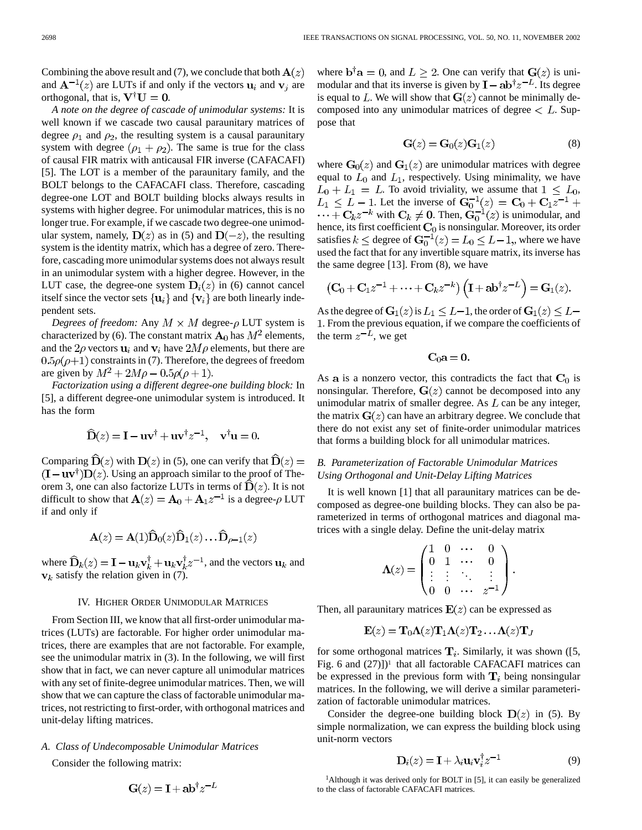Combining the above result and (7), we conclude that both  $A(z)$ and  $\mathbf{A}^{-1}(z)$  are LUTs if and only if the vectors  $\mathbf{u}_i$  and  $\mathbf{v}_j$  are orthogonal, that is,  $V^{\dagger}U = 0$ .

*A note on the degree of cascade of unimodular systems:* It is well known if we cascade two causal paraunitary matrices of degree  $\rho_1$  and  $\rho_2$ , the resulting system is a causal paraunitary system with degree  $(\rho_1 + \rho_2)$ . The same is true for the class of causal FIR matrix with anticausal FIR inverse (CAFACAFI) [5]. The LOT is a member of the paraunitary family, and the BOLT belongs to the CAFACAFI class. Therefore, cascading degree-one LOT and BOLT building blocks always results in systems with higher degree. For unimodular matrices, this is no longer true. For example, if we cascade two degree-one unimodular system, namely,  $\mathbf{D}(z)$  as in (5) and  $\mathbf{D}(-z)$ , the resulting system is the identity matrix, which has a degree of zero. Therefore, cascading more unimodular systems does not always result in an unimodular system with a higher degree. However, in the LUT case, the degree-one system  $D_i(z)$  in (6) cannot cancel itself since the vector sets  $\{u_i\}$  and  $\{v_i\}$  are both linearly independent sets.

*Degrees of freedom:* Any  $M \times M$  degree- $\rho$  LUT system is characterized by (6). The constant matrix  $\mathbf{A}_0$  has  $M^2$  elements, and the  $2\rho$  vectors  $\mathbf{u}_i$  and  $\mathbf{v}_i$  have  $2M\rho$  elements, but there are  $0.5\rho(\rho+1)$  constraints in (7). Therefore, the degrees of freedom are given by  $M^2 + 2M\rho - 0.5\rho(\rho + 1)$ .

*Factorization using a different degree-one building block:* In [5], a different degree-one unimodular system is introduced. It has the form

$$
\widehat{\mathbf{D}}(z) = \mathbf{I} - \mathbf{u}\mathbf{v}^{\dagger} + \mathbf{u}\mathbf{v}^{\dagger}z^{-1}, \quad \mathbf{v}^{\dagger}\mathbf{u} = 0.
$$

Comparing  $\hat{D}(z)$  with  $D(z)$  in (5), one can verify that  $\hat{D}(z)$  =  $(I - uv^{\dagger})D(z)$ . Using an approach similar to the proof of Theorem 3, one can also factorize LUTs in terms of  $\mathbf{D}(z)$ . It is not difficult to show that  $\mathbf{A}(z) = \mathbf{A}_0 + \mathbf{A}_1 z^{-1}$  is a degree- $\rho$  LUT if and only if

$$
\mathbf{A}(z) = \mathbf{A}(1)\widehat{\mathbf{D}}_0(z)\widehat{\mathbf{D}}_1(z)\dots \widehat{\mathbf{D}}_{\rho-1}(z)
$$

where  $\widehat{\mathbf{D}}_k(z) = \mathbf{I} - \mathbf{u}_k \mathbf{v}_k^{\dagger} + \mathbf{u}_k \mathbf{v}_k^{\dagger} z^{-1}$ , and the vectors  $\mathbf{u}_k$  and  $v_k$  satisfy the relation given in (7).

#### IV. HIGHER ORDER UNIMODULAR MATRICES

From Section III, we know that all first-order unimodular matrices (LUTs) are factorable. For higher order unimodular matrices, there are examples that are not factorable. For example, see the unimodular matrix in (3). In the following, we will first show that in fact, we can never capture all unimodular matrices with any set of finite-degree unimodular matrices. Then, we will show that we can capture the class of factorable unimodular matrices, not restricting to first-order, with orthogonal matrices and unit-delay lifting matrices.

# *A. Class of Undecomposable Unimodular Matrices*

Consider the following matrix:

$$
G(z) = I + ab^{\dagger} z^{-L}
$$

where  $\mathbf{b}^{\dagger} \mathbf{a} = 0$ , and  $L \geq 2$ . One can verify that  $\mathbf{G}(z)$  is unimodular and that its inverse is given by  $I - ab^{\dagger}z^{-L}$ . Its degree is equal to L. We will show that  $G(z)$  cannot be minimally decomposed into any unimodular matrices of degree  $\lt L$ . Suppose that

$$
\mathbf{G}(z) = \mathbf{G}_0(z)\mathbf{G}_1(z) \tag{8}
$$

where  $G_0(z)$  and  $G_1(z)$  are unimodular matrices with degree equal to  $L_0$  and  $L_1$ , respectively. Using minimality, we have  $L_0 + L_1 = L$ . To avoid triviality, we assume that  $1 \leq L_0$ , . Let the inverse of with  $C_k \neq 0$ . Then,  $G_0^{-1}(z)$  is unimodular, and hence, its first coefficient  $C_0$  is nonsingular. Moreover, its order satisfies  $k \leq$  degree of  $\mathbf{G}_0^{-1}(z) = L_0 \leq L - 1$ , where we have used the fact that for any invertible square matrix, its inverse has the same degree [13]. From (8), we have

$$
\left(\mathbf{C}_0+\mathbf{C}_1z^{-1}+\cdots+\mathbf{C}_kz^{-k}\right)\left(\mathbf{I}+\mathbf{a}\mathbf{b}^\dagger z^{-L}\right)=\mathbf{G}_1(z).
$$

As the degree of  $G_1(z)$  is  $L_1 \leq L-1$ , the order of  $G_1(z) \leq L-1$ . From the previous equation, if we compare the coefficients of the term  $z^{-L}$ , we get

$$
C_0a=0.
$$

As a is a nonzero vector, this contradicts the fact that  $C_0$  is nonsingular. Therefore,  $G(z)$  cannot be decomposed into any unimodular matrix of smaller degree. As  $L$  can be any integer, the matrix  $G(z)$  can have an arbitrary degree. We conclude that there do not exist any set of finite-order unimodular matrices that forms a building block for all unimodular matrices.

# *B. Parameterization of Factorable Unimodular Matrices Using Orthogonal and Unit-Delay Lifting Matrices*

It is well known [1] that all paraunitary matrices can be decomposed as degree-one building blocks. They can also be parameterized in terms of orthogonal matrices and diagonal matrices with a single delay. Define the unit-delay matrix

$$
\Lambda(z) = \begin{pmatrix} 1 & 0 & \cdots & 0 \\ 0 & 1 & \cdots & 0 \\ \vdots & \vdots & \ddots & \vdots \\ 0 & 0 & \cdots & z^{-1} \end{pmatrix}.
$$

Then, all paraunitary matrices  $E(z)$  can be expressed as

$$
\mathbf{E}(z) = \mathbf{T}_0 \mathbf{\Lambda}(z) \mathbf{T}_1 \mathbf{\Lambda}(z) \mathbf{T}_2 \dots \mathbf{\Lambda}(z) \mathbf{T}_J
$$

for some orthogonal matrices  $\mathbf{T}_i$ . Similarly, it was shown ([5, Fig. 6 and  $(27)$ ])<sup>1</sup> that all factorable CAFACAFI matrices can be expressed in the previous form with  $\mathbf{T}_i$  being nonsingular matrices. In the following, we will derive a similar parameterization of factorable unimodular matrices.

Consider the degree-one building block  $\mathbf{D}(z)$  in (5). By simple normalization, we can express the building block using unit-norm vectors

$$
\mathbf{D}_i(z) = \mathbf{I} + \lambda_i \mathbf{u}_i \mathbf{v}_i^{\mathsf{T}} z^{-1} \tag{9}
$$

<sup>1</sup>Although it was derived only for BOLT in [5], it can easily be generalized to the class of factorable CAFACAFI matrices.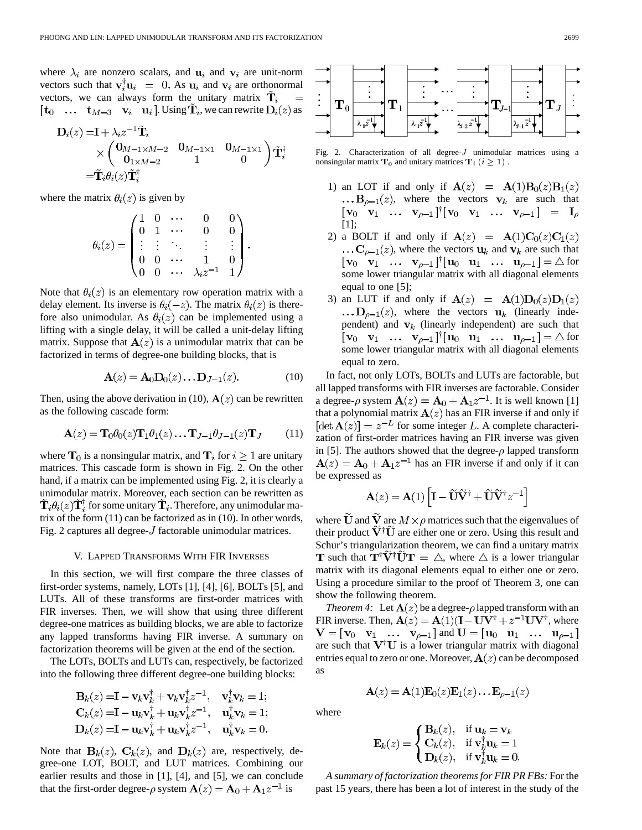where  $\lambda_i$  are nonzero scalars, and  $\mathbf{u}_i$  and  $\mathbf{v}_i$  are unit-norm vectors such that  $\mathbf{v}_i^{\mathsf{T}} \mathbf{u}_i = 0$ . As  $\mathbf{u}_i$  and  $\mathbf{v}_i$  are orthonormal vectors, we can always form the unitary matrix  $\tilde{\mathbf{T}}_i$  $[\mathbf{t}_0 \dots \mathbf{t}_{M-3} \mathbf{v}_i \mathbf{u}_i]$ . Using  $\mathbf{\tilde{T}}_i$ , we can rewrite  $\mathbf{D}_i(z)$  as

$$
\mathbf{D}_{i}(z) = \mathbf{I} + \lambda_{i} z^{-1} \tilde{\mathbf{T}}_{i} \times \begin{pmatrix} \mathbf{0}_{M-1 \times M-2} & \mathbf{0}_{M-1 \times 1} & \mathbf{0}_{M-1 \times 1} \\ \mathbf{0}_{1 \times M-2} & 1 & 0 \end{pmatrix} \tilde{\mathbf{T}}_{i}^{\dagger} = \tilde{\mathbf{T}}_{i} \theta_{i}(z) \tilde{\mathbf{T}}_{i}^{\dagger}
$$

where the matrix  $\theta_i(z)$  is given by

$$
\theta_i(z) = \begin{pmatrix} 1 & 0 & \cdots & 0 & 0 \\ 0 & 1 & \cdots & 0 & 0 \\ \vdots & \vdots & \ddots & \vdots & \vdots \\ 0 & 0 & \cdots & 1 & 0 \\ 0 & 0 & \cdots & \lambda_i z^{-1} & 1 \end{pmatrix}.
$$

Note that  $\theta_i(z)$  is an elementary row operation matrix with a delay element. Its inverse is  $\theta_i(-z)$ . The matrix  $\theta_i(z)$  is therefore also unimodular. As  $\theta_i(z)$  can be implemented using a lifting with a single delay, it will be called a unit-delay lifting matrix. Suppose that  $A(z)$  is a unimodular matrix that can be factorized in terms of degree-one building blocks, that is

$$
\mathbf{A}(z) = \mathbf{A}_0 \mathbf{D}_0(z) \dots \mathbf{D}_{J-1}(z). \tag{10}
$$

Then, using the above derivation in (10),  $A(z)$  can be rewritten as the following cascade form:

$$
\mathbf{A}(z) = \mathbf{T}_0 \theta_0(z) \mathbf{T}_1 \theta_1(z) \dots \mathbf{T}_{J-1} \theta_{J-1}(z) \mathbf{T}_J \tag{11}
$$

where  $\mathbf{T}_0$  is a nonsingular matrix, and  $\mathbf{T}_i$  for  $i \geq 1$  are unitary matrices. This cascade form is shown in Fig. 2. On the other hand, if a matrix can be implemented using Fig. 2, it is clearly a unimodular matrix. Moreover, each section can be rewritten as  $\mathbf{T}_i \theta_i(z) \mathbf{T}_i^{\dagger}$  for some unitary  $\mathbf{T}_i$ . Therefore, any unimodular matrix of the form (11) can be factorized as in (10). In other words, Fig. 2 captures all degree- $J$  factorable unimodular matrices.

#### V. LAPPED TRANSFORMS WITH FIR INVERSES

In this section, we will first compare the three classes of first-order systems, namely, LOTs [1], [4], [6], BOLTs [5], and LUTs. All of these transforms are first-order matrices with FIR inverses. Then, we will show that using three different degree-one matrices as building blocks, we are able to factorize any lapped transforms having FIR inverse. A summary on factorization theorems will be given at the end of the section.

The LOTs, BOLTs and LUTs can, respectively, be factorized into the following three different degree-one building blocks:

$$
\mathbf{B}_{k}(z) = \mathbf{I} - \mathbf{v}_{k}\mathbf{v}_{k}^{\dagger} + \mathbf{v}_{k}\mathbf{v}_{k}^{\dagger}z^{-1}, \quad \mathbf{v}_{k}^{\dagger}\mathbf{v}_{k} = 1; \n\mathbf{C}_{k}(z) = \mathbf{I} - \mathbf{u}_{k}\mathbf{v}_{k}^{\dagger} + \mathbf{u}_{k}\mathbf{v}_{k}^{\dagger}z^{-1}, \quad \mathbf{u}_{k}^{\dagger}\mathbf{v}_{k} = 1; \n\mathbf{D}_{k}(z) = \mathbf{I} - \mathbf{u}_{k}\mathbf{v}_{k}^{\dagger} + \mathbf{u}_{k}\mathbf{v}_{k}^{\dagger}z^{-1}, \quad \mathbf{u}_{k}^{\dagger}\mathbf{v}_{k} = 0.
$$

Note that  $B_k(z)$ ,  $C_k(z)$ , and  $D_k(z)$  are, respectively, degree-one LOT, BOLT, and LUT matrices. Combining our earlier results and those in [1], [4], and [5], we can conclude that the first-order degree- $\rho$  system  $\mathbf{A}(z) = \mathbf{A}_0 + \mathbf{A}_1 z^{-1}$  is



Fig. 2. Characterization of all degree- $J$  unimodular matrices using a nonsingular matrix  $T_0$  and unitary matrices  $T_i$   $(i \geq 1)$ .

- 1) an LOT if and only if  $A(z) = A(1)B_0(z)B_1(z)$  $...$ **B**<sub> $\rho-1$ </sub>(*z*), where the vectors **v**<sub>k</sub> are such that  $[\mathbf{v}_0 \quad \mathbf{v}_1 \quad \dots \quad \mathbf{v}_{\rho-1}]^{\dagger} [\mathbf{v}_0 \quad \mathbf{v}_1 \quad \dots \quad \mathbf{v}_{\rho-1}] = \mathbf{I}_{\rho}$ [1];
- 2) a BOLT if and only if  $A(z) = A(1)C_0(z)C_1(z)$  $\ldots$  C<sub>p-1</sub>(*z*), where the vectors  $u_k$  and  $v_k$  are such that  $\begin{bmatrix} \mathbf{v}_0 & \mathbf{v}_1 & \dots & \mathbf{v}_{\rho-1} \end{bmatrix}^{\dagger} \begin{bmatrix} \mathbf{u}_0 & \mathbf{u}_1 & \dots & \mathbf{u}_{\rho-1} \end{bmatrix} = \triangle$  for some lower triangular matrix with all diagonal elements equal to one [5];
- 3) an LUT if and only if  $A(z) = A(1)D_0(z)D_1(z)$  $\ldots$   $\mathbf{D}_{\rho-1}(z)$ , where the vectors  $\mathbf{u}_k$  (linearly independent) and  $v_k$  (linearly independent) are such that  $[\mathbf{v}_0 \quad \mathbf{v}_1 \quad \dots \quad \mathbf{v}_{\rho-1}]^{\dagger}[\mathbf{u}_0 \quad \mathbf{u}_1 \quad \dots \quad \mathbf{u}_{\rho-1}] = \triangle$  for some lower triangular matrix with all diagonal elements equal to zero.

In fact, not only LOTs, BOLTs and LUTs are factorable, but all lapped transforms with FIR inverses are factorable. Consider a degree- $\rho$  system  $\mathbf{A}(z) = \mathbf{A}_0 + \mathbf{A}_1 z^{-1}$ . It is well known [1] that a polynomial matrix  $A(z)$  has an FIR inverse if and only if  $[\det \mathbf{A}(z)] = z^{-L}$  for some integer L. A complete characterization of first-order matrices having an FIR inverse was given in [5]. The authors showed that the degree- $\rho$  lapped transform  $\mathbf{A}(z) = \mathbf{A}_0 + \mathbf{A}_1 z^{-1}$  has an FIR inverse if and only if it can be expressed as

$$
\mathbf{A}(z) = \mathbf{A}(1) \left[ \mathbf{I} - \widetilde{\mathbf{U}} \widetilde{\mathbf{V}}^{\dagger} + \widetilde{\mathbf{U}} \widetilde{\mathbf{V}}^{\dagger} z^{-1} \right]
$$

where  $\widetilde{\mathbf{U}}$  and  $\widetilde{\mathbf{V}}$  are  $M \times \rho$  matrices such that the eigenvalues of their product  $V^{\dagger}U$  are either one or zero. Using this result and Schur's triangularization theorem, we can find a unitary matrix **T** such that  $T^{\dagger}V^{\dagger}UT = \triangle$ , where  $\triangle$  is a lower triangular matrix with its diagonal elements equal to either one or zero. Using a procedure similar to the proof of Theorem 3, one can show the following theorem.

*Theorem 4:* Let  $\mathbf{A}(z)$  be a degree- $\rho$  lapped transform with an FIR inverse. Then,  $\mathbf{A}(z) = \mathbf{A}(1)(\mathbf{I} - \mathbf{U}\mathbf{V}^{\dagger} + z^{-1}\mathbf{U}\mathbf{V}^{\dagger})$ , where  $\mathbf{V} = [\mathbf{v}_0 \quad \mathbf{v}_1 \quad \dots \quad \mathbf{v}_{\rho-1}]$  and  $\mathbf{U} = [\mathbf{u}_0 \quad \mathbf{u}_1 \quad \dots \quad \mathbf{u}_{\rho-1}]$ are such that  $V^{\dagger}U$  is a lower triangular matrix with diagonal entries equal to zero or one. Moreover,  $A(z)$  can be decomposed as

$$
\mathbf{A}(z) = \mathbf{A}(1)\mathbf{E}_0(z)\mathbf{E}_1(z)\dots\mathbf{E}_{\rho-1}(z)
$$

where

$$
\mathbf{E}_k(z) = \begin{cases} \mathbf{B}_k(z), & \text{if } \mathbf{u}_k = \mathbf{v}_k \\ \mathbf{C}_k(z), & \text{if } \mathbf{v}_k^{\dagger}\mathbf{u}_k = 1 \\ \mathbf{D}_k(z), & \text{if } \mathbf{v}_k^{\dagger}\mathbf{u}_k = 0. \end{cases}
$$

*A summary of factorization theorems for FIR PR FBs:* For the past 15 years, there has been a lot of interest in the study of the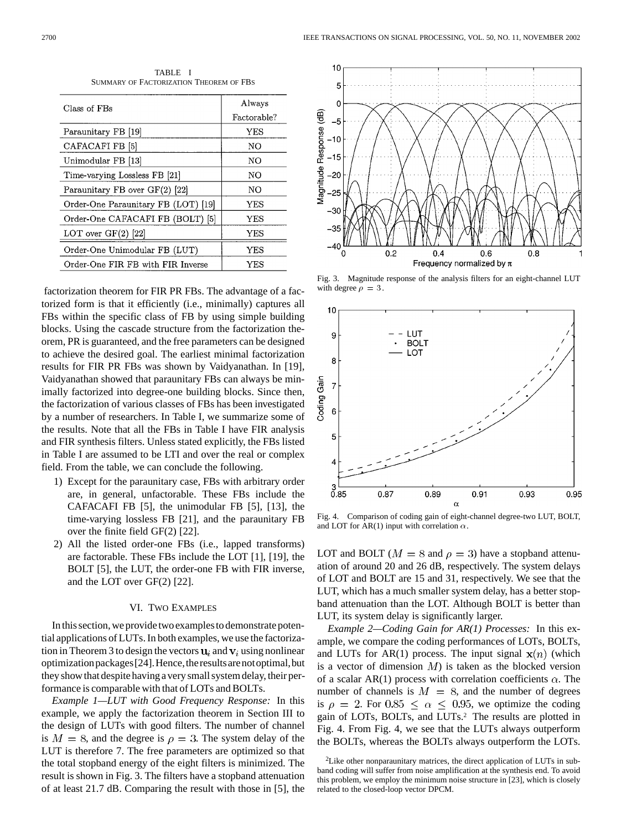| Class of FBs                        | Always      |
|-------------------------------------|-------------|
|                                     | Factorable? |
| Paraunitary FB [19]                 | YES         |
| CAFACAFI FB [5]                     | NO          |
| Unimodular FB [13]                  | NΟ          |
| Time-varying Lossless FB [21]       | NΟ          |
| Paraunitary FB over GF(2) [22]      | NO          |
| Order-One Paraunitary FB (LOT) [19] | YES         |
| Order-One CAFACAFI FB (BOLT) [5]    | YES         |
| LOT over $GF(2)$ [22]               | YES         |
| Order-One Unimodular FB (LUT)       | YES         |
| Order-One FIR FB with FIR Inverse   | YES         |

TABLE I SUMMARY OF FACTORIZATION THEOREM OF FBS

factorization theorem for FIR PR FBs. The advantage of a factorized form is that it efficiently (i.e., minimally) captures all FBs within the specific class of FB by using simple building blocks. Using the cascade structure from the factorization theorem, PR is guaranteed, and the free parameters can be designed to achieve the desired goal. The earliest minimal factorization results for FIR PR FBs was shown by Vaidyanathan. In [19], Vaidyanathan showed that paraunitary FBs can always be minimally factorized into degree-one building blocks. Since then, the factorization of various classes of FBs has been investigated by a number of researchers. In Table I, we summarize some of the results. Note that all the FBs in Table I have FIR analysis and FIR synthesis filters. Unless stated explicitly, the FBs listed in Table I are assumed to be LTI and over the real or complex field. From the table, we can conclude the following.

- 1) Except for the paraunitary case, FBs with arbitrary order are, in general, unfactorable. These FBs include the CAFACAFI FB [5], the unimodular FB [5], [13], the time-varying lossless FB [21], and the paraunitary FB over the finite field GF(2) [22].
- 2) All the listed order-one FBs (i.e., lapped transforms) are factorable. These FBs include the LOT [1], [19], the BOLT [5], the LUT, the order-one FB with FIR inverse, and the LOT over GF(2) [22].

#### VI. TWO EXAMPLES

In this section, weprovide two examplesto demonstrate potential applications of LUTs. In both examples, we use the factorization in Theorem 3 to design the vectors  $\mathbf{u}_i$  and  $\mathbf{v}_i$  using nonlinear optimizationpackages[24].Hence,theresultsarenotoptimal,but they show that despite having a very small system delay, their performance is comparable with that of LOTs and BOLTs.

*Example 1—LUT with Good Frequency Response:* In this example, we apply the factorization theorem in Section III to the design of LUTs with good filters. The number of channel is  $M = 8$ , and the degree is  $\rho = 3$ . The system delay of the LUT is therefore 7. The free parameters are optimized so that the total stopband energy of the eight filters is minimized. The result is shown in Fig. 3. The filters have a stopband attenuation of at least 21.7 dB. Comparing the result with those in [5], the



Fig. 3. Magnitude response of the analysis filters for an eight-channel LUT with degree  $\rho = 3$ .



Fig. 4. Comparison of coding gain of eight-channel degree-two LUT, BOLT, and LOT for AR(1) input with correlation  $\alpha$ .

LOT and BOLT ( $M = 8$  and  $\rho = 3$ ) have a stopband attenuation of around 20 and 26 dB, respectively. The system delays of LOT and BOLT are 15 and 31, respectively. We see that the LUT, which has a much smaller system delay, has a better stopband attenuation than the LOT. Although BOLT is better than LUT, its system delay is significantly larger.

*Example 2—Coding Gain for AR(1) Processes:* In this example, we compare the coding performances of LOTs, BOLTs, and LUTs for AR(1) process. The input signal  $\mathbf{x}(n)$  (which is a vector of dimension  $M$ ) is taken as the blocked version of a scalar AR(1) process with correlation coefficients  $\alpha$ . The number of channels is  $M = 8$ , and the number of degrees is  $\rho = 2$ . For  $0.85 \le \alpha \le 0.95$ , we optimize the coding gain of LOTs, BOLTs, and LUTs.2 The results are plotted in Fig. 4. From Fig. 4, we see that the LUTs always outperform the BOLTs, whereas the BOLTs always outperform the LOTs.

<sup>2</sup>Like other nonparaunitary matrices, the direct application of LUTs in subband coding will suffer from noise amplification at the synthesis end. To avoid this problem, we employ the minimum noise structure in [23], which is closely related to the closed-loop vector DPCM.